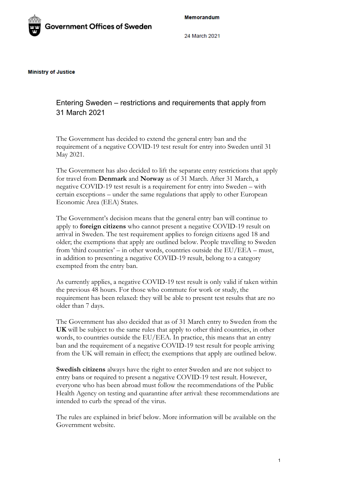Memorandum



24 March 2021

**Ministry of Justice** 

Entering Sweden – restrictions and requirements that apply from 31 March 2021

The Government has decided to extend the general entry ban and the requirement of a negative COVID-19 test result for entry into Sweden until 31 May 2021.

The Government has also decided to lift the separate entry restrictions that apply for travel from **Denmark** and **Norway** as of 31 March. After 31 March, a negative COVID-19 test result is a requirement for entry into Sweden – with certain exceptions – under the same regulations that apply to other European Economic Area (EEA) States.

The Government's decision means that the general entry ban will continue to apply to **foreign citizens** who cannot present a negative COVID-19 result on arrival in Sweden. The test requirement applies to foreign citizens aged 18 and older; the exemptions that apply are outlined below. People travelling to Sweden from 'third countries' – in other words, countries outside the EU/EEA – must, in addition to presenting a negative COVID-19 result, belong to a category exempted from the entry ban.

As currently applies, a negative COVID-19 test result is only valid if taken within the previous 48 hours. For those who commute for work or study, the requirement has been relaxed: they will be able to present test results that are no older than 7 days.

The Government has also decided that as of 31 March entry to Sweden from the **UK** will be subject to the same rules that apply to other third countries, in other words, to countries outside the EU/EEA. In practice, this means that an entry ban and the requirement of a negative COVID-19 test result for people arriving from the UK will remain in effect; the exemptions that apply are outlined below.

**Swedish citizens** always have the right to enter Sweden and are not subject to entry bans or required to present a negative COVID-19 test result. However, everyone who has been abroad must follow the recommendations of the Public Health Agency on testing and quarantine after arrival: these recommendations are intended to curb the spread of the virus.

The rules are explained in brief below. More information will be available on the Government website.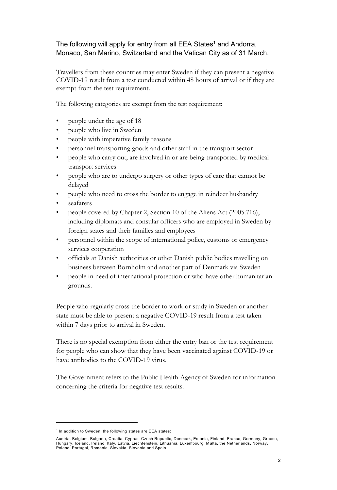## The following will apply for entry from all EEA States<sup>1</sup> and Andorra, Monaco, San Marino, Switzerland and the Vatican City as of 31 March.

Travellers from these countries may enter Sweden if they can present a negative COVID-19 result from a test conducted within 48 hours of arrival or if they are exempt from the test requirement.

The following categories are exempt from the test requirement:

- people under the age of 18
- people who live in Sweden
- people with imperative family reasons
- personnel transporting goods and other staff in the transport sector
- people who carry out, are involved in or are being transported by medical transport services
- people who are to undergo surgery or other types of care that cannot be delayed
- people who need to cross the border to engage in reindeer husbandry
- seafarers
- people covered by Chapter 2, Section 10 of the Aliens Act (2005:716), including diplomats and consular officers who are employed in Sweden by foreign states and their families and employees
- personnel within the scope of international police, customs or emergency services cooperation
- officials at Danish authorities or other Danish public bodies travelling on business between Bornholm and another part of Denmark via Sweden
- people in need of international protection or who have other humanitarian grounds.

People who regularly cross the border to work or study in Sweden or another state must be able to present a negative COVID-19 result from a test taken within 7 days prior to arrival in Sweden.

There is no special exemption from either the entry ban or the test requirement for people who can show that they have been vaccinated against COVID-19 or have antibodies to the COVID-19 virus.

The Government refers to the Public Health Agency of Sweden for information concerning the criteria for negative test results.

<sup>&</sup>lt;sup>1</sup> In addition to Sweden, the following states are EEA states:

Austria, Belgium, Bulgaria, Croatia, Cyprus, Czech Republic, Denmark, Estonia, Finland, France, Germany, Greece, Hungary, Iceland, Ireland, Italy, Latvia, Liechtenstein, Lithuania, Luxembourg, M alta, the Netherlands, Norway, Poland, Portugal, Romania, Slovakia, Slovenia and Spain.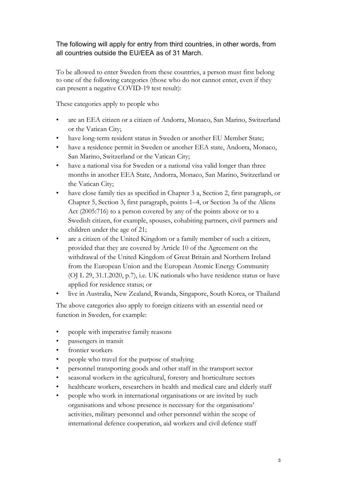## The following will apply for entry from third countries, in other words, from all countries outside the EU/EEA as of 31 March.

To be allowed to enter Sweden from these countries, a person must first belong to one of the following categories (those who do not cannot enter, even if they can present a negative COVID-19 test result):

These categories apply to people who

- are an EEA citizen or a citizen of Andorra, Monaco, San Marino, Switzerland or the Vatican City;
- have long-term resident status in Sweden or another EU Member State;
- have a residence permit in Sweden or another EEA state, Andorra, Monaco, San Marino, Switzerland or the Vatican City;
- have a national visa for Sweden or a national visa valid longer than three months in another EEA State, Andorra, Monaco, San Marino, Switzerland or the Vatican City;
- have close family ties as specified in Chapter 3 a, Section 2, first paragraph, or Chapter 5, Section 3, first paragraph, points 1–4, or Section 3a of the Aliens Act (2005:716) to a person covered by any of the points above or to a Swedish citizen, for example, spouses, cohabiting partners, civil partners and children under the age of 21;
- are a citizen of the United Kingdom or a family member of such a citizen, provided that they are covered by Article 10 of the Agreement on the withdrawal of the United Kingdom of Great Britain and Northern Ireland from the European Union and the European Atomic Energy Community (OJ L 29, 31.1.2020, p.7), i.e. UK nationals who have residence status or have applied for residence status; or
- live in Australia, New Zealand, Rwanda, Singapore, South Korea, or Thailand

The above categories also apply to foreign citizens with an essential need or function in Sweden, for example:

- people with imperative family reasons
- passengers in transit
- frontier workers
- people who travel for the purpose of studying
- personnel transporting goods and other staff in the transport sector
- seasonal workers in the agricultural, forestry and horticulture sectors
- healthcare workers, researchers in health and medical care and elderly staff
- people who work in international organisations or are invited by such organisations and whose presence is necessary for the organisations' activities, military personnel and other personnel within the scope of international defence cooperation, aid workers and civil defence staff